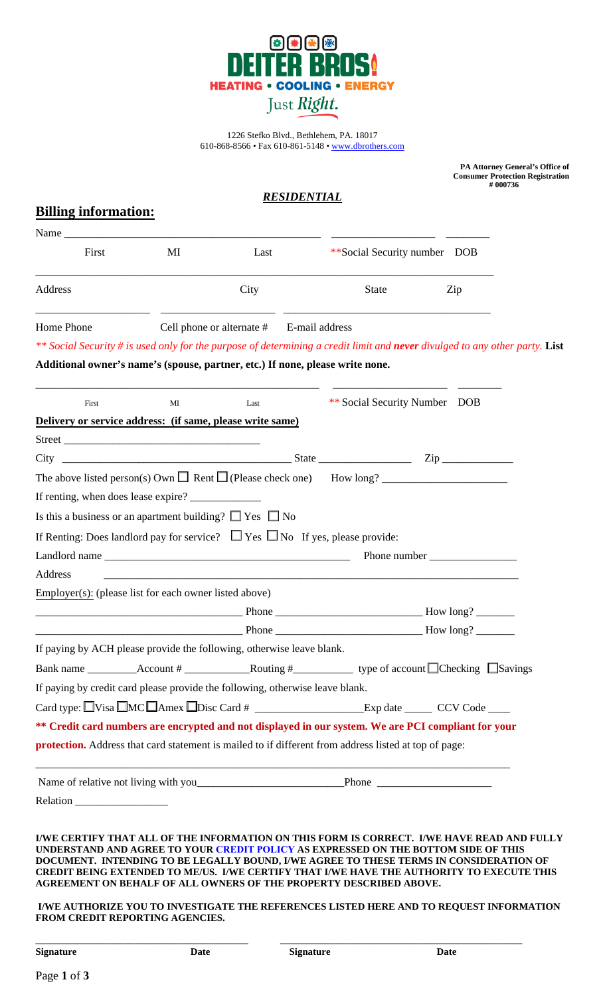

1226 Stefko Blvd., Bethlehem, PA. 18017 610-868-8566 • Fax 610-861-5148 • [www.dbrothers.com](https://www.dbrothers.com/)

| <b>Billing information:</b> |                                                                               |                                                                                                                       | RESIDENTIAL                                                                                                                                                                                                                                                                                                                                                               | PA Attorney General's Office of<br><b>Consumer Protection Registration</b><br>#000736 |
|-----------------------------|-------------------------------------------------------------------------------|-----------------------------------------------------------------------------------------------------------------------|---------------------------------------------------------------------------------------------------------------------------------------------------------------------------------------------------------------------------------------------------------------------------------------------------------------------------------------------------------------------------|---------------------------------------------------------------------------------------|
|                             | Name                                                                          |                                                                                                                       |                                                                                                                                                                                                                                                                                                                                                                           |                                                                                       |
| First                       | MI                                                                            | Last                                                                                                                  | **Social Security number DOB                                                                                                                                                                                                                                                                                                                                              |                                                                                       |
| Address                     |                                                                               | City                                                                                                                  | <b>State</b>                                                                                                                                                                                                                                                                                                                                                              | Zip                                                                                   |
| Home Phone                  | Additional owner's name's (spouse, partner, etc.) If none, please write none. | Cell phone or alternate #                                                                                             | E-mail address<br>** Social Security # is used only for the purpose of determining a credit limit and never divulged to any other party. List                                                                                                                                                                                                                             |                                                                                       |
| First                       | МI                                                                            | Last                                                                                                                  | ** Social Security Number DOB                                                                                                                                                                                                                                                                                                                                             |                                                                                       |
|                             | Delivery or service address: (if same, please write same)                     |                                                                                                                       |                                                                                                                                                                                                                                                                                                                                                                           |                                                                                       |
|                             | Street                                                                        |                                                                                                                       |                                                                                                                                                                                                                                                                                                                                                                           |                                                                                       |
| City                        |                                                                               |                                                                                                                       | $S$ tate $Zip$                                                                                                                                                                                                                                                                                                                                                            |                                                                                       |
|                             |                                                                               |                                                                                                                       |                                                                                                                                                                                                                                                                                                                                                                           |                                                                                       |
|                             | Is this a business or an apartment building? $\Box$ Yes $\Box$ No             |                                                                                                                       |                                                                                                                                                                                                                                                                                                                                                                           |                                                                                       |
|                             |                                                                               |                                                                                                                       | If Renting: Does landlord pay for service? $\Box$ Yes $\Box$ No If yes, please provide:                                                                                                                                                                                                                                                                                   |                                                                                       |
|                             | Landlord name                                                                 |                                                                                                                       |                                                                                                                                                                                                                                                                                                                                                                           |                                                                                       |
| Address                     |                                                                               | <u> 1989 - Johann Harry Harry Harry Harry Harry Harry Harry Harry Harry Harry Harry Harry Harry Harry Harry Harry</u> |                                                                                                                                                                                                                                                                                                                                                                           |                                                                                       |
|                             | Employer(s): (please list for each owner listed above)                        |                                                                                                                       |                                                                                                                                                                                                                                                                                                                                                                           |                                                                                       |
|                             |                                                                               |                                                                                                                       |                                                                                                                                                                                                                                                                                                                                                                           |                                                                                       |
|                             |                                                                               |                                                                                                                       |                                                                                                                                                                                                                                                                                                                                                                           |                                                                                       |
|                             | If paying by ACH please provide the following, otherwise leave blank.         |                                                                                                                       |                                                                                                                                                                                                                                                                                                                                                                           |                                                                                       |
|                             |                                                                               |                                                                                                                       | Bank name ____________Account # ______________________Routing # _________________ type of account $\Box$ Checking $\Box$ Savings                                                                                                                                                                                                                                          |                                                                                       |
|                             | If paying by credit card please provide the following, otherwise leave blank. |                                                                                                                       |                                                                                                                                                                                                                                                                                                                                                                           |                                                                                       |
|                             |                                                                               |                                                                                                                       |                                                                                                                                                                                                                                                                                                                                                                           |                                                                                       |
|                             |                                                                               |                                                                                                                       | ** Credit card numbers are encrypted and not displayed in our system. We are PCI compliant for your                                                                                                                                                                                                                                                                       |                                                                                       |
|                             |                                                                               |                                                                                                                       | <b>protection.</b> Address that card statement is mailed to if different from address listed at top of page:                                                                                                                                                                                                                                                              |                                                                                       |
|                             |                                                                               |                                                                                                                       | Name of relative not living with you Phone Phone Phone                                                                                                                                                                                                                                                                                                                    |                                                                                       |
|                             |                                                                               |                                                                                                                       |                                                                                                                                                                                                                                                                                                                                                                           |                                                                                       |
|                             |                                                                               |                                                                                                                       | I/WE CERTIFY THAT ALL OF THE INFORMATION ON THIS FORM IS CORRECT. I/WE HAVE READ AND FULLY<br>UNDERSTAND AND AGREE TO YOUR CREDIT POLICY AS EXPRESSED ON THE BOTTOM SIDE OF THIS<br>DOCUMENT. INTENDING TO BE LEGALLY BOUND, I/WE AGREE TO THESE TERMS IN CONSIDERATION OF<br>CERDIT REING EXTENDED TO MEAIS - JAME GERTIEV THAT JAME HAVE THE ALITHOPITY TO EXECUTE THIS |                                                                                       |

**CREDIT BEING EXTENDED TO ME/US. I/WE CERTIFY THAT I/WE HAVE THE AUTHORITY TO EXECUTE THIS AGREEMENT ON BEHALF OF ALL OWNERS OF THE PROPERTY DESCRIBED ABOVE.** 

#### **I/WE AUTHORIZE YOU TO INVESTIGATE THE REFERENCES LISTED HERE AND TO REQUEST INFORMATION FROM CREDIT REPORTING AGENCIES.**

**Signature Date Signature Date**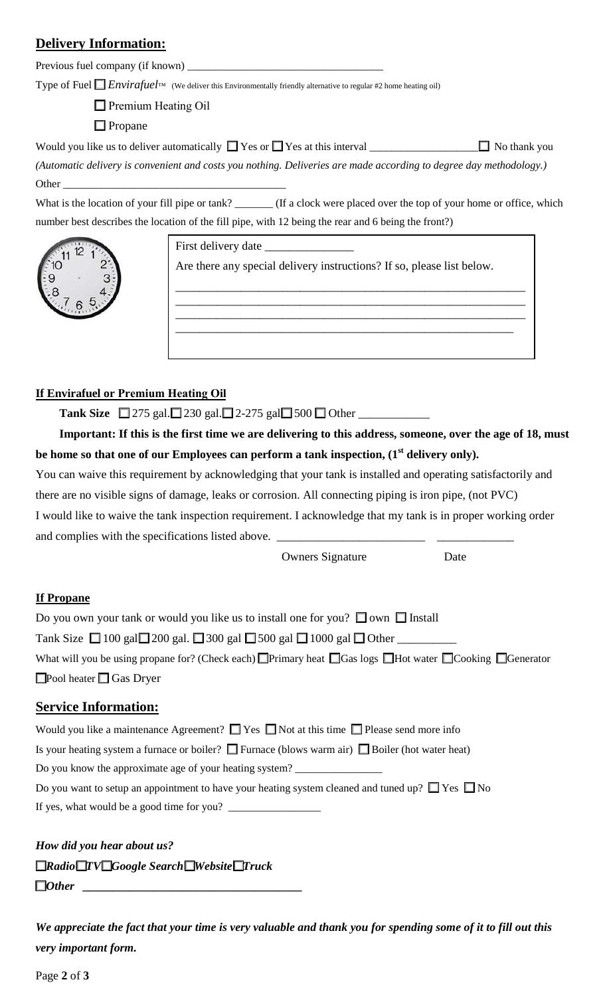# **Delivery Information:**

Previous fuel company (if known) \_\_\_\_\_\_\_\_\_\_\_\_\_\_\_\_\_\_\_\_\_\_\_\_\_\_\_\_\_\_\_\_\_\_\_\_

Type of Fuel  $\Box$  *Envirafuel*<sup>™</sup> (We deliver this Environmentally friendly alternative to regular #2 home heating oil)

**Premium Heating Oil** 

 $\Box$  Propane

Would you like us to deliver automatically  $\Box$  Yes or  $\Box$  Yes at this interval  $\Box$   $\Box$  No thank you *(Automatic delivery is convenient and costs you nothing. Deliveries are made according to degree day methodology.)* 

What is the location of your fill pipe or tank? \_\_\_\_\_\_\_ (If a clock were placed over the top of your home or office, which number best describes the location of the fill pipe, with 12 being the rear and 6 being the front?)



Other  $\_\_$ 

First delivery date \_\_\_\_\_\_\_\_\_\_\_\_\_\_\_

Are there any special delivery instructions? If so, please list below.

\_\_\_\_\_\_\_\_\_\_\_\_\_\_\_\_\_\_\_\_\_\_\_\_\_\_\_\_\_\_\_\_\_\_\_\_\_\_\_\_\_\_\_\_\_\_\_\_\_\_\_\_\_\_\_\_\_\_\_ \_\_\_\_\_\_\_\_\_\_\_\_\_\_\_\_\_\_\_\_\_\_\_\_\_\_\_\_\_\_\_\_\_\_\_\_\_\_\_\_\_\_\_\_\_\_\_\_\_\_\_\_\_\_\_\_\_\_\_ \_\_\_\_\_\_\_\_\_\_\_\_\_\_\_\_\_\_\_\_\_\_\_\_\_\_\_\_\_\_\_\_\_\_\_\_\_\_\_\_\_\_\_\_\_\_\_\_\_\_\_\_\_\_\_\_\_\_\_ \_\_\_\_\_\_\_\_\_\_\_\_\_\_\_\_\_\_\_\_\_\_\_\_\_\_\_\_\_\_\_\_\_\_\_\_\_\_\_\_\_\_\_\_\_\_\_\_\_\_\_\_\_\_\_\_\_

## **If Envirafuel or Premium Heating Oil**

**Tank Size**  $\Box$  275 gal.  $\Box$  230 gal.  $\Box$  2-275 gal $\Box$  500  $\Box$  Other  $\Box$ 

 **Important: If this is the first time we are delivering to this address, someone, over the age of 18, must**  be home so that one of our Employees can perform a tank inspection, (1<sup>st</sup> delivery only).

You can waive this requirement by acknowledging that your tank is installed and operating satisfactorily and there are no visible signs of damage, leaks or corrosion. All connecting piping is iron pipe, (not PVC) I would like to waive the tank inspection requirement. I acknowledge that my tank is in proper working order

and complies with the specifications listed above. \_\_\_\_\_\_\_\_\_\_\_\_\_\_\_\_\_\_\_\_\_\_\_\_\_\_\_\_\_

Owners Signature Date

### **If Propane**

| Do you own your tank or would you like us to install one for you? $\Box$ own $\Box$ Install                                    |
|--------------------------------------------------------------------------------------------------------------------------------|
| Tank Size $\Box$ 100 gal $\Box$ 200 gal. $\Box$ 300 gal $\Box$ 500 gal $\Box$ 1000 gal $\Box$ Other                            |
| What will you be using propane for? (Check each) Primary heat $\Box$ Gas logs $\Box$ Hot water $\Box$ Cooking $\Box$ Generator |
| $\Box$ Pool heater $\Box$ Gas Dryer                                                                                            |

## **Service Information:**

| Would you like a maintenance Agreement? $\Box$ Yes $\Box$ Not at this time $\Box$ Please send more info    |
|------------------------------------------------------------------------------------------------------------|
| Is your heating system a furnace or boiler? $\Box$ Furnace (blows warm air) $\Box$ Boiler (hot water heat) |
| Do you know the approximate age of your heating system?                                                    |
| Do you want to setup an appointment to have your heating system cleaned and tuned up? $\Box$ Yes $\Box$ No |
| If yes, what would be a good time for you?                                                                 |

*How did you hear about us? RadioTVGoogle SearchWebsiteTruck*  $\Box$ *Other* 

*We appreciate the fact that your time is very valuable and thank you for spending some of it to fill out this very important form.*

Page **2** of **3**